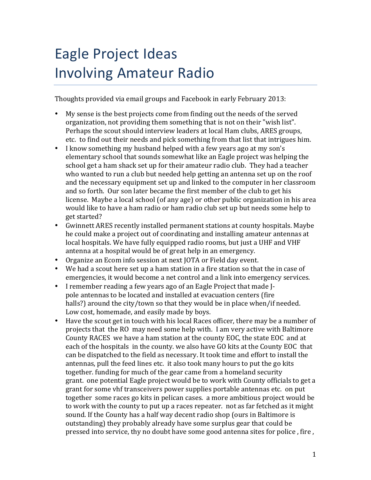## Eagle Project Ideas **Involving Amateur Radio**

Thoughts provided via email groups and Facebook in early February 2013:

- My sense is the best projects come from finding out the needs of the served organization, not providing them something that is not on their "wish list". Perhaps the scout should interview leaders at local Ham clubs, ARES groups, etc. to find out their needs and pick something from that list that intrigues him.
- I know something my husband helped with a few years ago at my son's elementary school that sounds somewhat like an Eagle project was helping the school get a ham shack set up for their amateur radio club. They had a teacher who wanted to run a club but needed help getting an antenna set up on the roof and the necessary equipment set up and linked to the computer in her classroom and so forth. Our son later became the first member of the club to get his license. Maybe a local school (of any age) or other public organization in his area would like to have a ham radio or ham radio club set up but needs some help to get started?
- Gwinnett ARES recently installed permanent stations at county hospitals. Maybe he could make a project out of coordinating and installing amateur antennas at local hospitals. We have fully equipped radio rooms, but just a UHF and VHF antenna at a hospital would be of great help in an emergency.
- Organize an Ecom info session at next JOTA or Field day event.
- We had a scout here set up a ham station in a fire station so that the in case of emergencies, it would become a net control and a link into emergency services.
- I remember reading a few years ago of an Eagle Project that made Ipole antennas to be located and installed at evacuation centers (fire halls?) around the city/town so that they would be in place when/if needed. Low cost, homemade, and easily made by boys.
- Have the scout get in touch with his local Races officer, there may be a number of projects that the RO may need some help with. I am very active with Baltimore County RACES we have a ham station at the county EOC, the state EOC and at each of the hospitals in the county. we also have GO kits at the County EOC that can be dispatched to the field as necessary. It took time and effort to install the antennas, pull the feed lines etc. it also took many hours to put the go kits together. funding for much of the gear came from a homeland security grant. one potential Eagle project would be to work with County officials to get a grant for some vhf transceivers power supplies portable antennas etc. on put together some races go kits in pelican cases. a more ambitious project would be to work with the county to put up a races repeater. not as far fetched as it might sound. If the County has a half way decent radio shop (ours in Baltimore is outstanding) they probably already have some surplus gear that could be pressed into service, thy no doubt have some good antenna sites for police, fire,